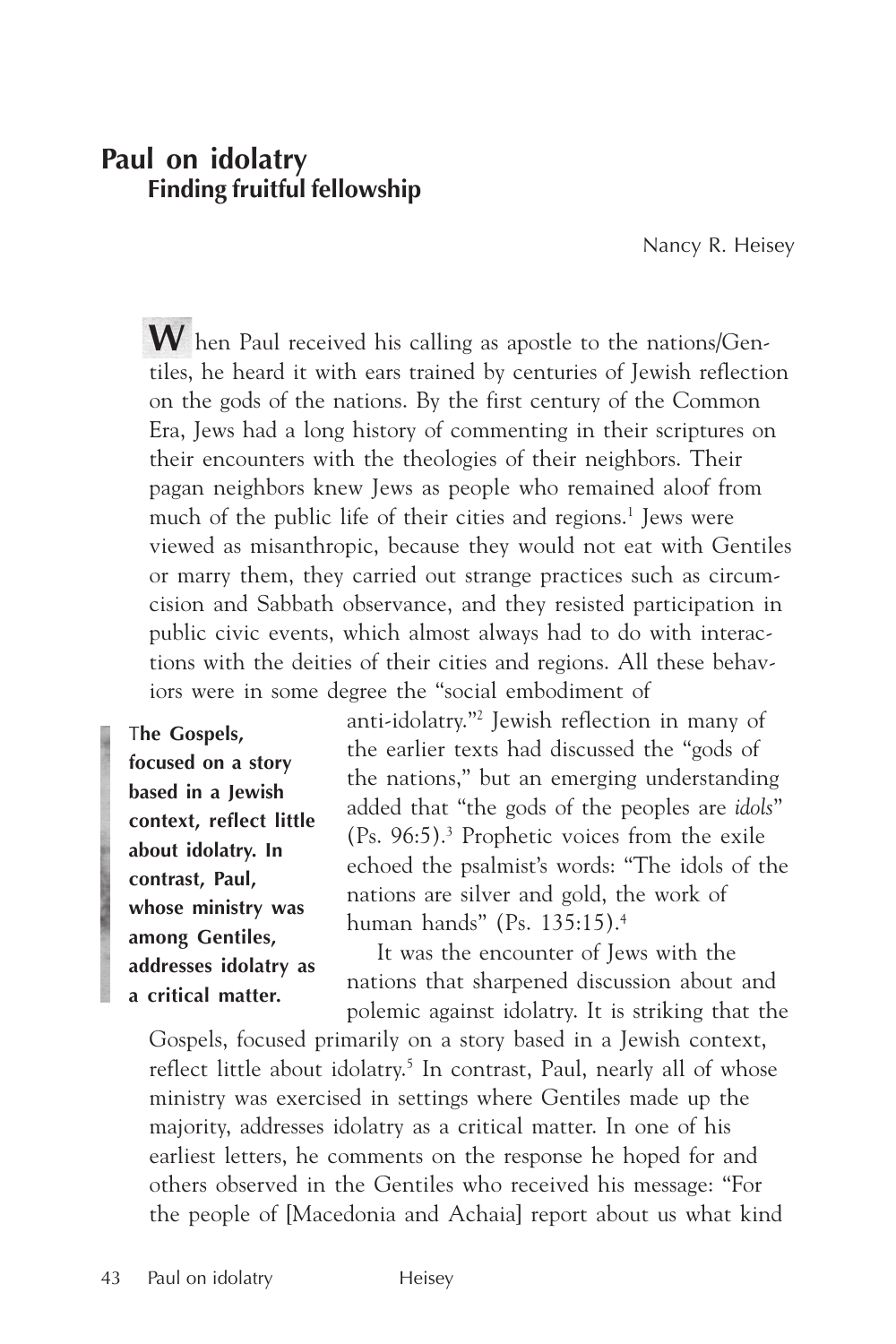# **Paul on idolatry Finding fruitful fellowship**

Nancy R. Heisey

**W** hen Paul received his calling as apostle to the nations/Gentiles, he heard it with ears trained by centuries of Jewish reflection on the gods of the nations. By the first century of the Common Era, Jews had a long history of commenting in their scriptures on their encounters with the theologies of their neighbors. Their pagan neighbors knew Jews as people who remained aloof from much of the public life of their cities and regions.<sup>1</sup> Jews were viewed as misanthropic, because they would not eat with Gentiles or marry them, they carried out strange practices such as circumcision and Sabbath observance, and they resisted participation in public civic events, which almost always had to do with interactions with the deities of their cities and regions. All these behaviors were in some degree the "social embodiment of

T**he Gospels, focused on a story based in a Jewish context, reflect little about idolatry. In contrast, Paul, whose ministry was among Gentiles, addresses idolatry as a critical matter.**

anti-idolatry."2 Jewish reflection in many of the earlier texts had discussed the "gods of the nations," but an emerging understanding added that "the gods of the peoples are *idols*" (Ps. 96:5).3 Prophetic voices from the exile echoed the psalmist's words: "The idols of the nations are silver and gold, the work of human hands" (Ps. 135:15).4

It was the encounter of Jews with the nations that sharpened discussion about and polemic against idolatry. It is striking that the

Gospels, focused primarily on a story based in a Jewish context, reflect little about idolatry.<sup>5</sup> In contrast, Paul, nearly all of whose ministry was exercised in settings where Gentiles made up the majority, addresses idolatry as a critical matter. In one of his earliest letters, he comments on the response he hoped for and others observed in the Gentiles who received his message: "For the people of [Macedonia and Achaia] report about us what kind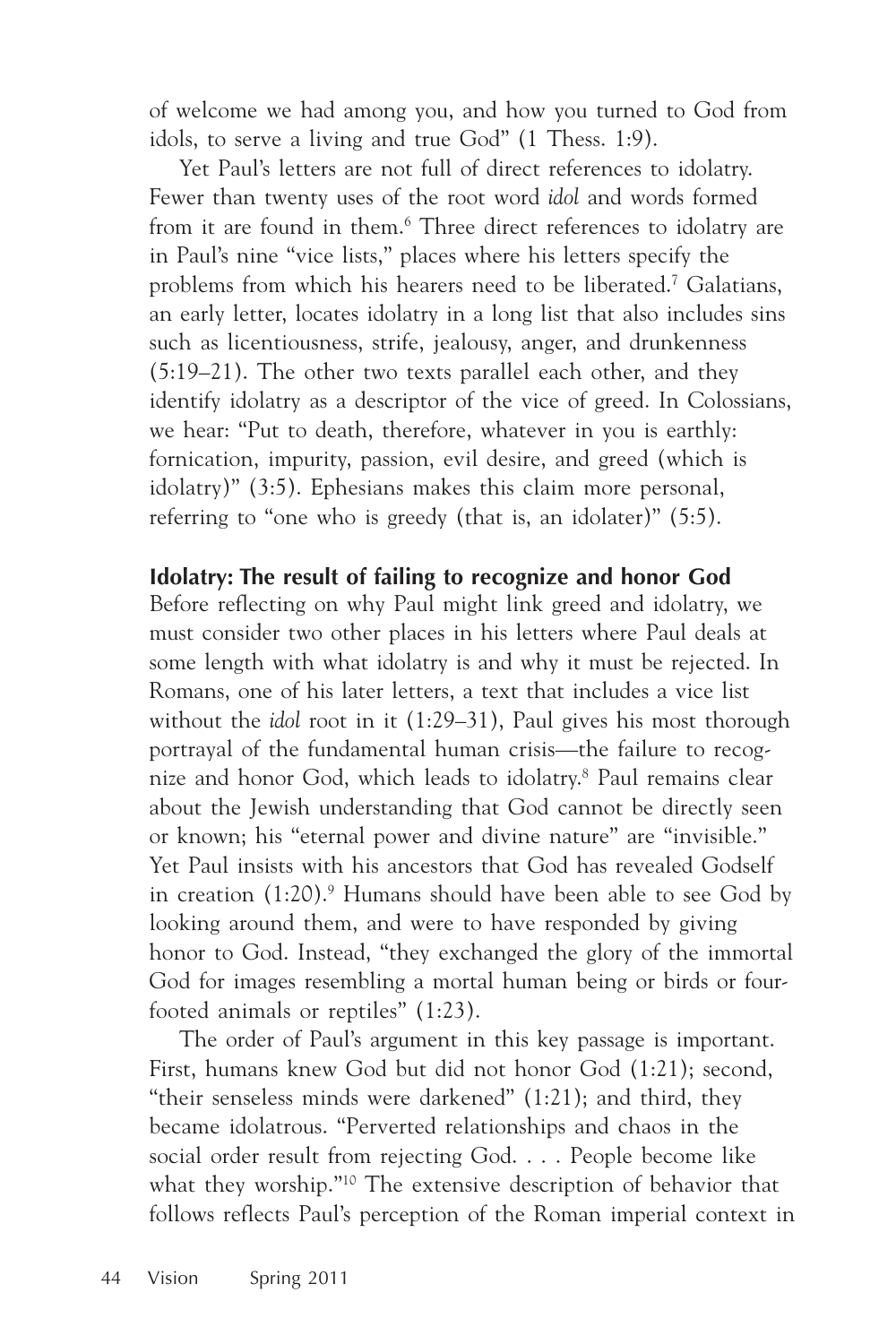of welcome we had among you, and how you turned to God from idols, to serve a living and true God" (1 Thess. 1:9).

Yet Paul's letters are not full of direct references to idolatry. Fewer than twenty uses of the root word *idol* and words formed from it are found in them.<sup>6</sup> Three direct references to idolatry are in Paul's nine "vice lists," places where his letters specify the problems from which his hearers need to be liberated.7 Galatians, an early letter, locates idolatry in a long list that also includes sins such as licentiousness, strife, jealousy, anger, and drunkenness (5:19–21). The other two texts parallel each other, and they identify idolatry as a descriptor of the vice of greed. In Colossians, we hear: "Put to death, therefore, whatever in you is earthly: fornication, impurity, passion, evil desire, and greed (which is idolatry)" (3:5). Ephesians makes this claim more personal, referring to "one who is greedy (that is, an idolater)" (5:5).

**Idolatry: The result of failing to recognize and honor God** Before reflecting on why Paul might link greed and idolatry, we must consider two other places in his letters where Paul deals at some length with what idolatry is and why it must be rejected. In Romans, one of his later letters, a text that includes a vice list without the *idol* root in it (1:29–31), Paul gives his most thorough portrayal of the fundamental human crisis—the failure to recognize and honor God, which leads to idolatry.8 Paul remains clear about the Jewish understanding that God cannot be directly seen or known; his "eternal power and divine nature" are "invisible." Yet Paul insists with his ancestors that God has revealed Godself in creation (1:20).<sup>9</sup> Humans should have been able to see God by looking around them, and were to have responded by giving honor to God. Instead, "they exchanged the glory of the immortal God for images resembling a mortal human being or birds or fourfooted animals or reptiles" (1:23).

The order of Paul's argument in this key passage is important. First, humans knew God but did not honor God (1:21); second, "their senseless minds were darkened" (1:21); and third, they became idolatrous. "Perverted relationships and chaos in the social order result from rejecting God. . . . People become like what they worship."<sup>10</sup> The extensive description of behavior that follows reflects Paul's perception of the Roman imperial context in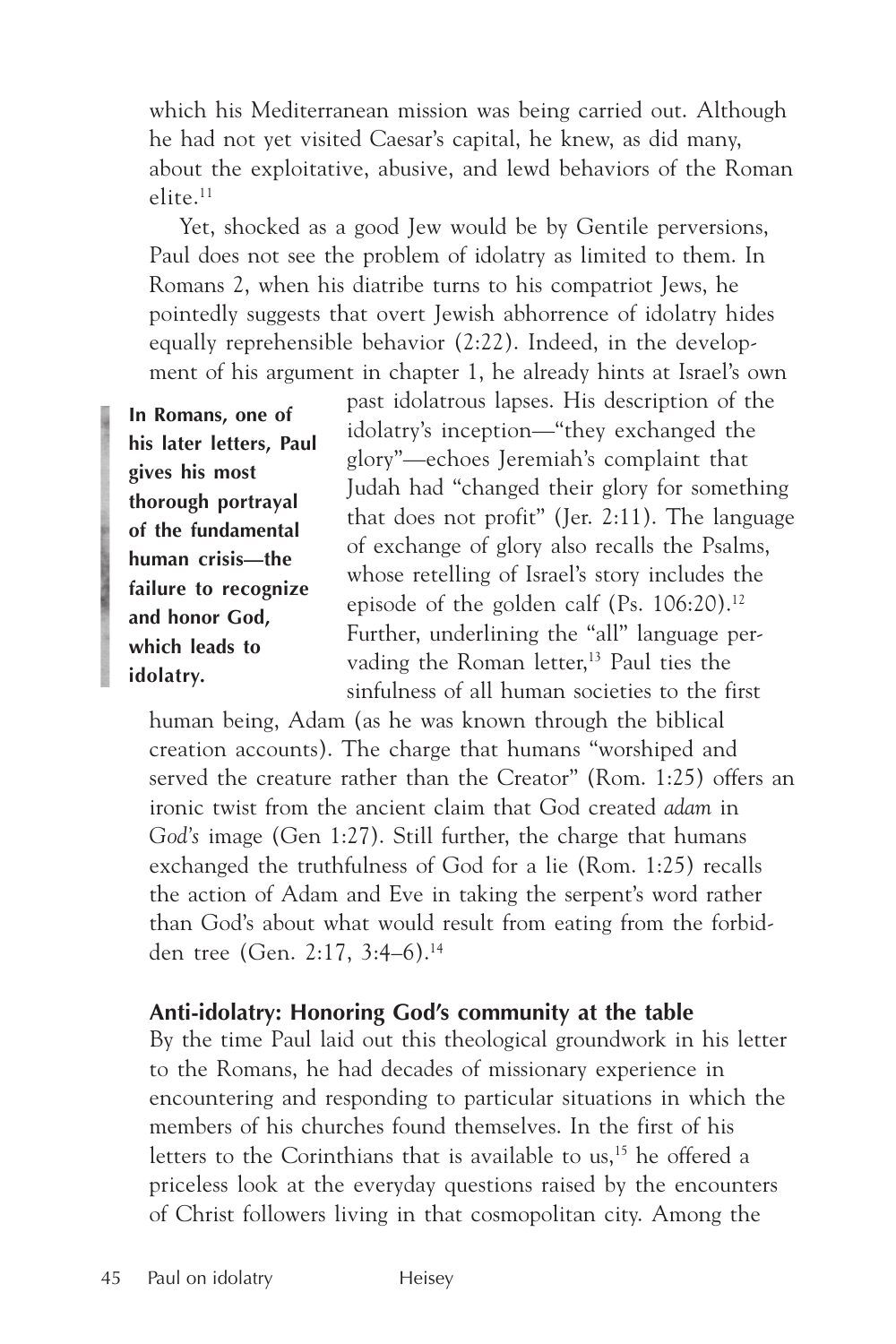which his Mediterranean mission was being carried out. Although he had not yet visited Caesar's capital, he knew, as did many, about the exploitative, abusive, and lewd behaviors of the Roman elite.11

Yet, shocked as a good Jew would be by Gentile perversions, Paul does not see the problem of idolatry as limited to them. In Romans 2, when his diatribe turns to his compatriot Jews, he pointedly suggests that overt Jewish abhorrence of idolatry hides equally reprehensible behavior (2:22). Indeed, in the development of his argument in chapter 1, he already hints at Israel's own

**In Romans, one of his later letters, Paul gives his most thorough portrayal of the fundamental human crisis—the failure to recognize and honor God, which leads to idolatry.**

past idolatrous lapses. His description of the idolatry's inception—"they exchanged the glory"—echoes Jeremiah's complaint that Judah had "changed their glory for something that does not profit" (Jer. 2:11). The language of exchange of glory also recalls the Psalms, whose retelling of Israel's story includes the episode of the golden calf (Ps. 106:20).12 Further, underlining the "all" language pervading the Roman letter,<sup>13</sup> Paul ties the sinfulness of all human societies to the first

human being, Adam (as he was known through the biblical creation accounts). The charge that humans "worshiped and served the creature rather than the Creator" (Rom. 1:25) offers an ironic twist from the ancient claim that God created *adam* in *God's* image (Gen 1:27). Still further, the charge that humans exchanged the truthfulness of God for a lie (Rom. 1:25) recalls the action of Adam and Eve in taking the serpent's word rather than God's about what would result from eating from the forbidden tree (Gen. 2:17, 3:4–6).14

### **Anti-idolatry: Honoring God's community at the table**

By the time Paul laid out this theological groundwork in his letter to the Romans, he had decades of missionary experience in encountering and responding to particular situations in which the members of his churches found themselves. In the first of his letters to the Corinthians that is available to us,<sup>15</sup> he offered a priceless look at the everyday questions raised by the encounters of Christ followers living in that cosmopolitan city. Among the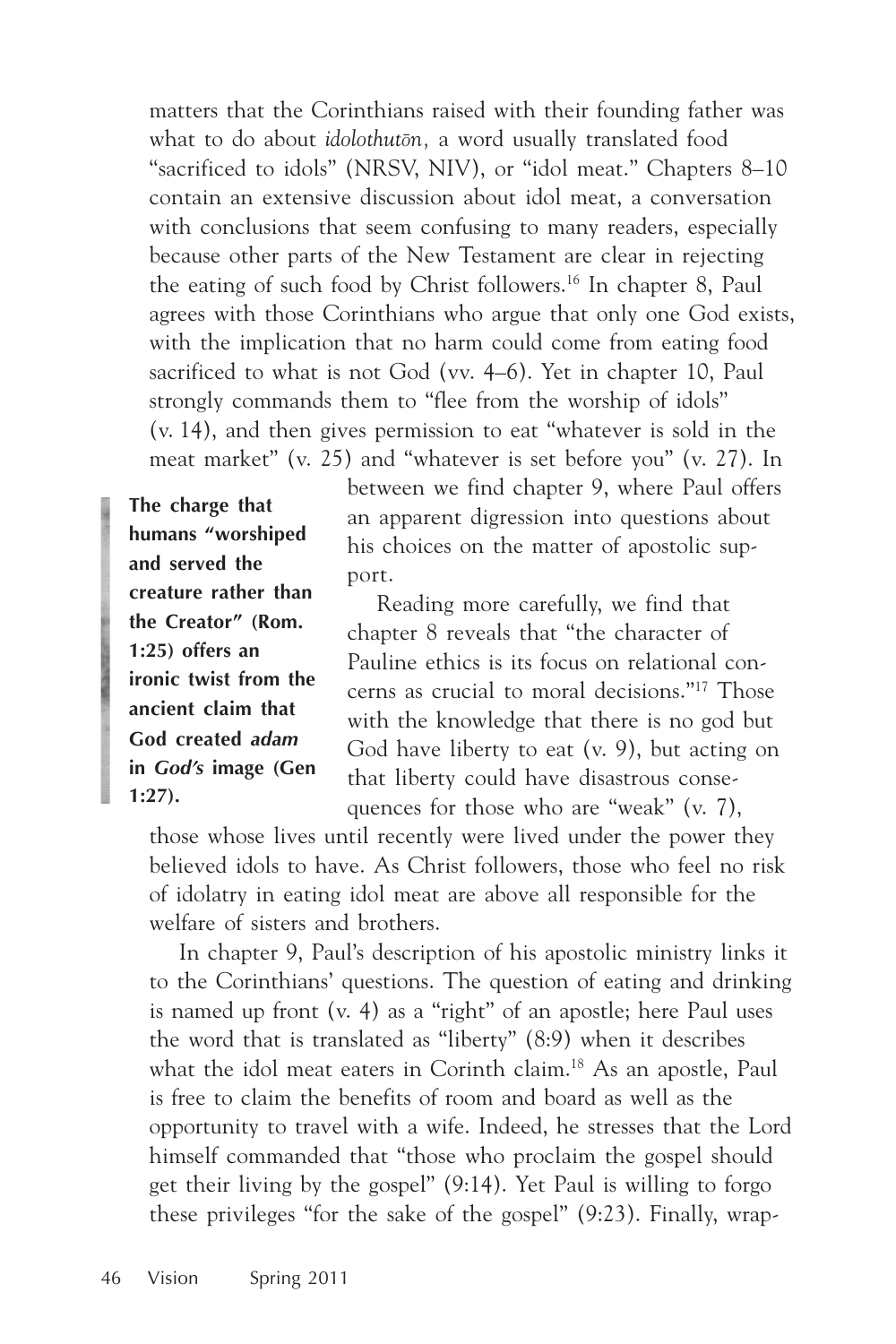matters that the Corinthians raised with their founding father was what to do about *idolothutòn,* a word usually translated food "sacrificed to idols" (NRSV, NIV), or "idol meat." Chapters 8–10 contain an extensive discussion about idol meat, a conversation with conclusions that seem confusing to many readers, especially because other parts of the New Testament are clear in rejecting the eating of such food by Christ followers.16 In chapter 8, Paul agrees with those Corinthians who argue that only one God exists, with the implication that no harm could come from eating food sacrificed to what is not God (vv. 4–6). Yet in chapter 10, Paul strongly commands them to "flee from the worship of idols" (v. 14), and then gives permission to eat "whatever is sold in the meat market" (v. 25) and "whatever is set before you" (v. 27). In

**The charge that humans "worshiped and served the creature rather than the Creator" (Rom. 1:25) offers an ironic twist from the ancient claim that God created** *adam* **in** *God's* **image (Gen 1:27).**

between we find chapter 9, where Paul offers an apparent digression into questions about his choices on the matter of apostolic support.

Reading more carefully, we find that chapter 8 reveals that "the character of Pauline ethics is its focus on relational concerns as crucial to moral decisions."17 Those with the knowledge that there is no god but God have liberty to eat (v. 9), but acting on that liberty could have disastrous consequences for those who are "weak" (v. 7),

those whose lives until recently were lived under the power they believed idols to have. As Christ followers, those who feel no risk of idolatry in eating idol meat are above all responsible for the welfare of sisters and brothers.

In chapter 9, Paul's description of his apostolic ministry links it to the Corinthians' questions. The question of eating and drinking is named up front (v. 4) as a "right" of an apostle; here Paul uses the word that is translated as "liberty" (8:9) when it describes what the idol meat eaters in Corinth claim.<sup>18</sup> As an apostle, Paul is free to claim the benefits of room and board as well as the opportunity to travel with a wife. Indeed, he stresses that the Lord himself commanded that "those who proclaim the gospel should get their living by the gospel" (9:14). Yet Paul is willing to forgo these privileges "for the sake of the gospel" (9:23). Finally, wrap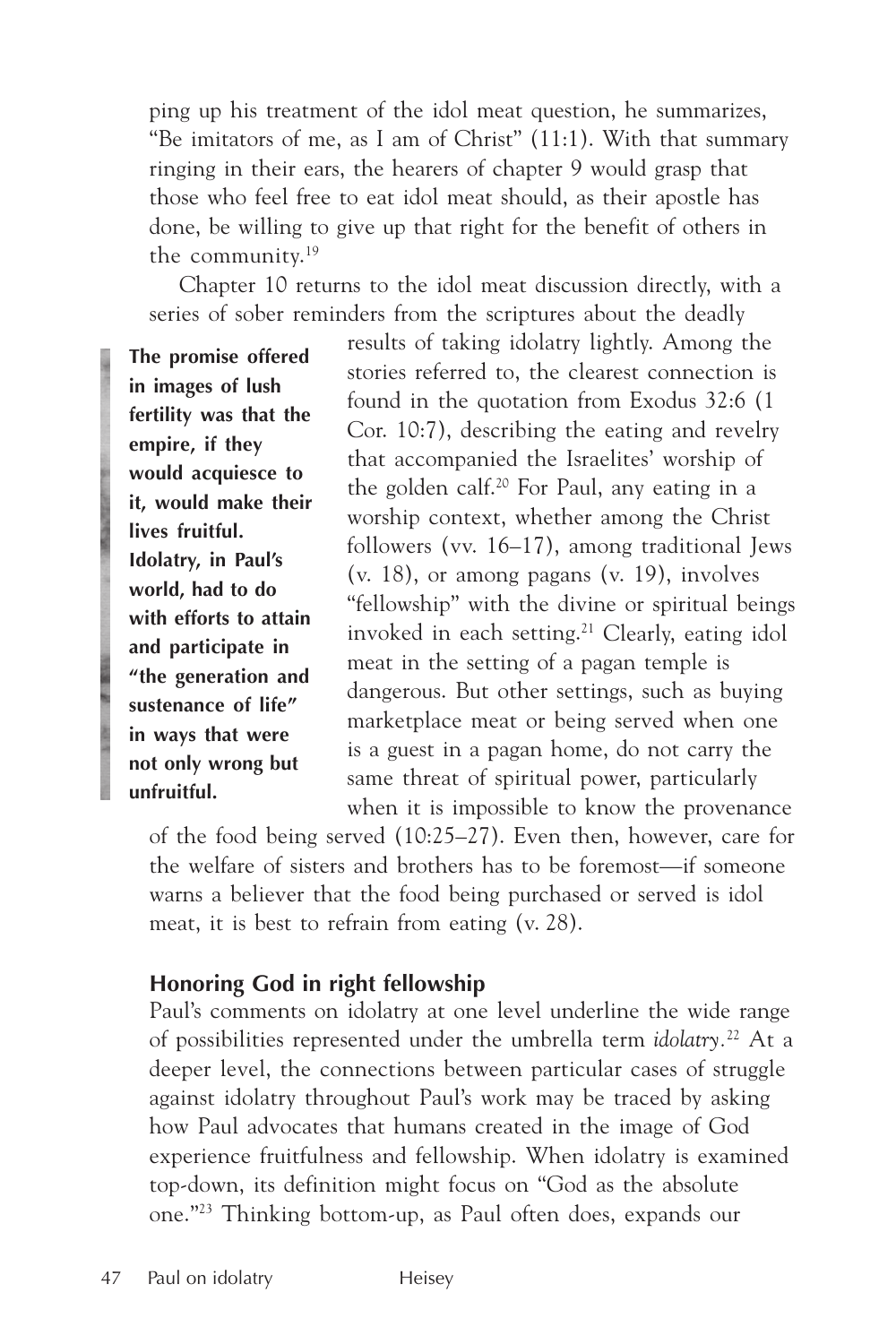ping up his treatment of the idol meat question, he summarizes, "Be imitators of me, as I am of Christ" (11:1). With that summary ringing in their ears, the hearers of chapter 9 would grasp that those who feel free to eat idol meat should, as their apostle has done, be willing to give up that right for the benefit of others in the community.19

Chapter 10 returns to the idol meat discussion directly, with a series of sober reminders from the scriptures about the deadly

**The promise offered in images of lush fertility was that the empire, if they would acquiesce to it, would make their lives fruitful. Idolatry, in Paul's world, had to do with efforts to attain and participate in "the generation and sustenance of life" in ways that were not only wrong but unfruitful.**

results of taking idolatry lightly. Among the stories referred to, the clearest connection is found in the quotation from Exodus 32:6 (1 Cor. 10:7), describing the eating and revelry that accompanied the Israelites' worship of the golden calf.20 For Paul, any eating in a worship context, whether among the Christ followers (vv. 16–17), among traditional Jews (v. 18), or among pagans (v. 19), involves "fellowship" with the divine or spiritual beings invoked in each setting.21 Clearly, eating idol meat in the setting of a pagan temple is dangerous. But other settings, such as buying marketplace meat or being served when one is a guest in a pagan home, do not carry the same threat of spiritual power, particularly when it is impossible to know the provenance

of the food being served (10:25–27). Even then, however, care for the welfare of sisters and brothers has to be foremost—if someone warns a believer that the food being purchased or served is idol meat, it is best to refrain from eating (v. 28).

#### **Honoring God in right fellowship**

Paul's comments on idolatry at one level underline the wide range of possibilities represented under the umbrella term *idolatry.*22 At a deeper level, the connections between particular cases of struggle against idolatry throughout Paul's work may be traced by asking how Paul advocates that humans created in the image of God experience fruitfulness and fellowship. When idolatry is examined top-down, its definition might focus on "God as the absolute one."23 Thinking bottom-up, as Paul often does, expands our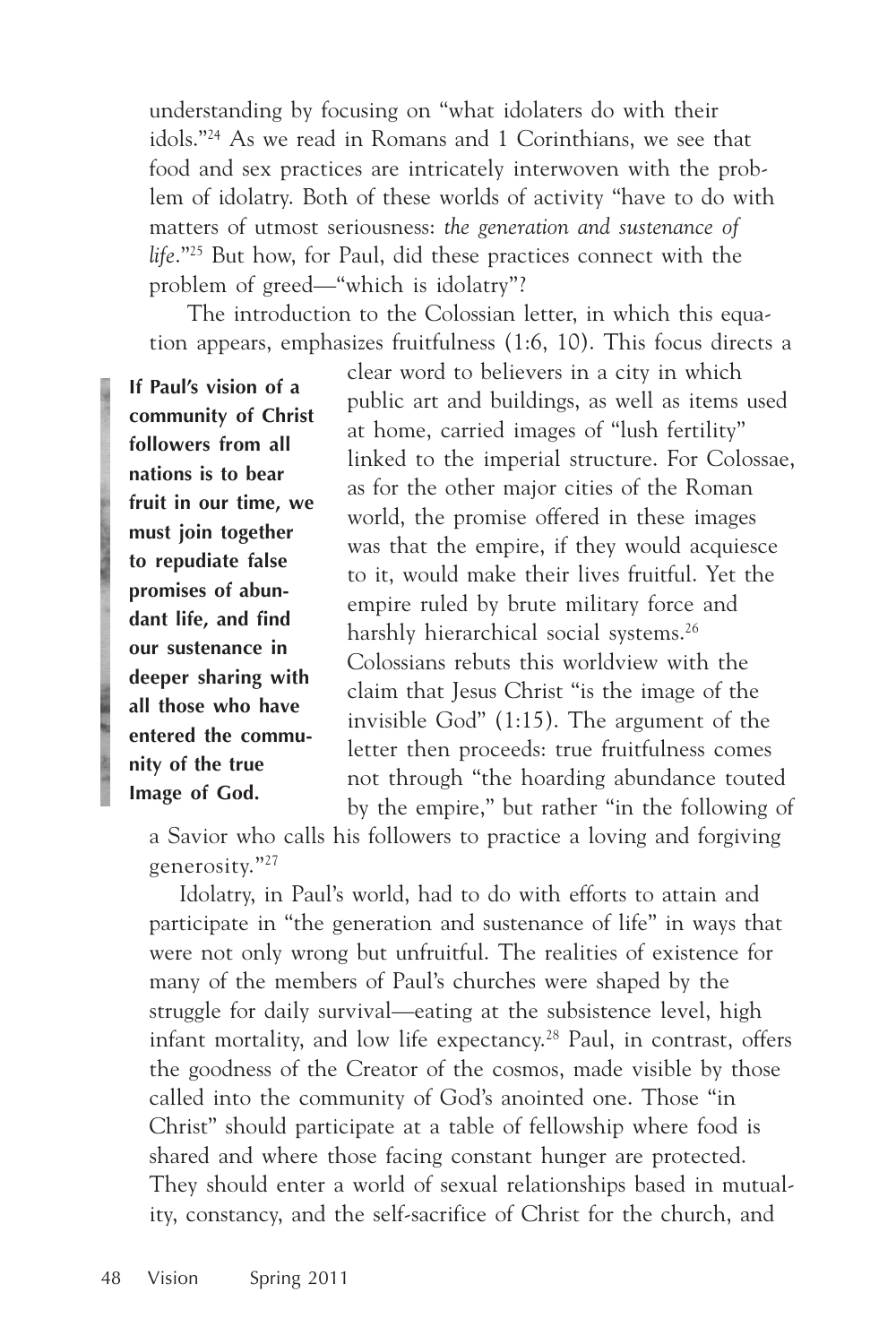understanding by focusing on "what idolaters do with their idols."24 As we read in Romans and 1 Corinthians, we see that food and sex practices are intricately interwoven with the problem of idolatry. Both of these worlds of activity "have to do with matters of utmost seriousness: *the generation and sustenance of life*."25 But how, for Paul, did these practices connect with the problem of greed—"which is idolatry"?

 The introduction to the Colossian letter, in which this equation appears, emphasizes fruitfulness (1:6, 10). This focus directs a

**If Paul's vision of a community of Christ followers from all nations is to bear fruit in our time, we must join together to repudiate false promises of abundant life, and find our sustenance in deeper sharing with all those who have entered the community of the true Image of God.**

clear word to believers in a city in which public art and buildings, as well as items used at home, carried images of "lush fertility" linked to the imperial structure. For Colossae, as for the other major cities of the Roman world, the promise offered in these images was that the empire, if they would acquiesce to it, would make their lives fruitful. Yet the empire ruled by brute military force and harshly hierarchical social systems.<sup>26</sup> Colossians rebuts this worldview with the claim that Jesus Christ "is the image of the invisible God" (1:15). The argument of the letter then proceeds: true fruitfulness comes not through "the hoarding abundance touted by the empire," but rather "in the following of

a Savior who calls his followers to practice a loving and forgiving generosity."27

Idolatry, in Paul's world, had to do with efforts to attain and participate in "the generation and sustenance of life" in ways that were not only wrong but unfruitful. The realities of existence for many of the members of Paul's churches were shaped by the struggle for daily survival—eating at the subsistence level, high infant mortality, and low life expectancy.<sup>28</sup> Paul, in contrast, offers the goodness of the Creator of the cosmos, made visible by those called into the community of God's anointed one. Those "in Christ" should participate at a table of fellowship where food is shared and where those facing constant hunger are protected. They should enter a world of sexual relationships based in mutuality, constancy, and the self-sacrifice of Christ for the church, and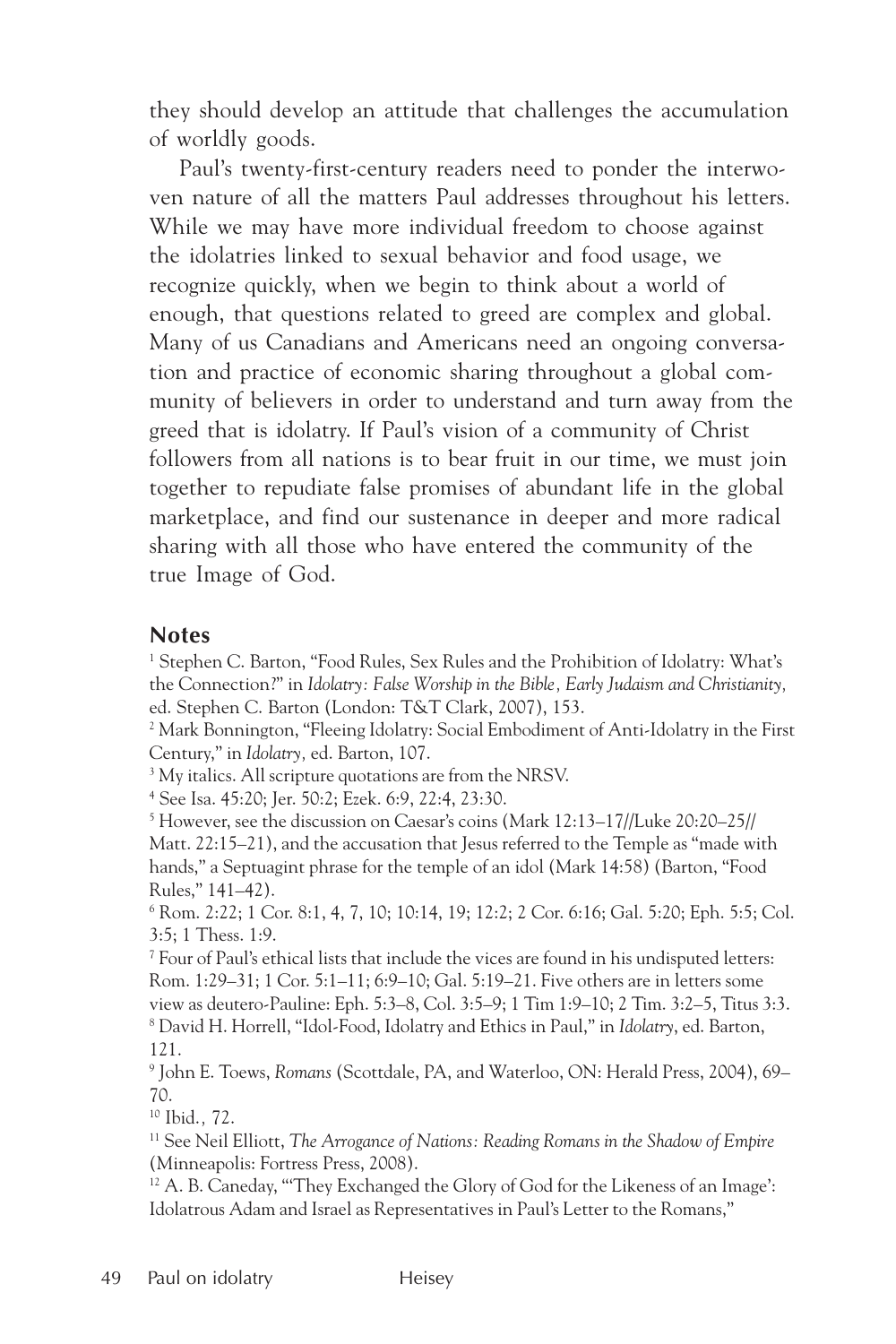they should develop an attitude that challenges the accumulation of worldly goods.

Paul's twenty-first-century readers need to ponder the interwoven nature of all the matters Paul addresses throughout his letters. While we may have more individual freedom to choose against the idolatries linked to sexual behavior and food usage, we recognize quickly, when we begin to think about a world of enough, that questions related to greed are complex and global. Many of us Canadians and Americans need an ongoing conversation and practice of economic sharing throughout a global community of believers in order to understand and turn away from the greed that is idolatry. If Paul's vision of a community of Christ followers from all nations is to bear fruit in our time, we must join together to repudiate false promises of abundant life in the global marketplace, and find our sustenance in deeper and more radical sharing with all those who have entered the community of the true Image of God.

#### **Notes**

<sup>1</sup> Stephen C. Barton, "Food Rules, Sex Rules and the Prohibition of Idolatry: What's the Connection?" in *Idolatry: False Worship in the Bible, Early Judaism and Christianity,* ed. Stephen C. Barton (London: T&T Clark, 2007), 153.

2 Mark Bonnington, "Fleeing Idolatry: Social Embodiment of Anti-Idolatry in the First Century," in *Idolatry,* ed. Barton, 107.

<sup>3</sup> My italics. All scripture quotations are from the NRSV.

4 See Isa. 45:20; Jer. 50:2; Ezek. 6:9, 22:4, 23:30.

5 However, see the discussion on Caesar's coins (Mark 12:13–17//Luke 20:20–25// Matt. 22:15–21), and the accusation that Jesus referred to the Temple as "made with hands," a Septuagint phrase for the temple of an idol (Mark 14:58) (Barton, "Food Rules," 141–42).

6 Rom. 2:22; 1 Cor. 8:1, 4, 7, 10; 10:14, 19; 12:2; 2 Cor. 6:16; Gal. 5:20; Eph. 5:5; Col. 3:5; 1 Thess. 1:9.

 $^7$  Four of Paul's ethical lists that include the vices are found in his undisputed letters: Rom. 1:29–31; 1 Cor. 5:1–11; 6:9–10; Gal. 5:19–21. Five others are in letters some view as deutero-Pauline: Eph. 5:3–8, Col. 3:5–9; 1 Tim 1:9–10; 2 Tim. 3:2–5, Titus 3:3. 8 David H. Horrell, "Idol-Food, Idolatry and Ethics in Paul," in *Idolatry*, ed. Barton, 121.

9 John E. Toews, *Romans* (Scottdale, PA, and Waterloo, ON: Herald Press, 2004), 69– 70.

10 Ibid.*,* 72.

11 See Neil Elliott, *The Arrogance of Nations: Reading Romans in the Shadow of Empire* (Minneapolis: Fortress Press, 2008).

<sup>12</sup> A. B. Caneday, "They Exchanged the Glory of God for the Likeness of an Image': Idolatrous Adam and Israel as Representatives in Paul's Letter to the Romans,"